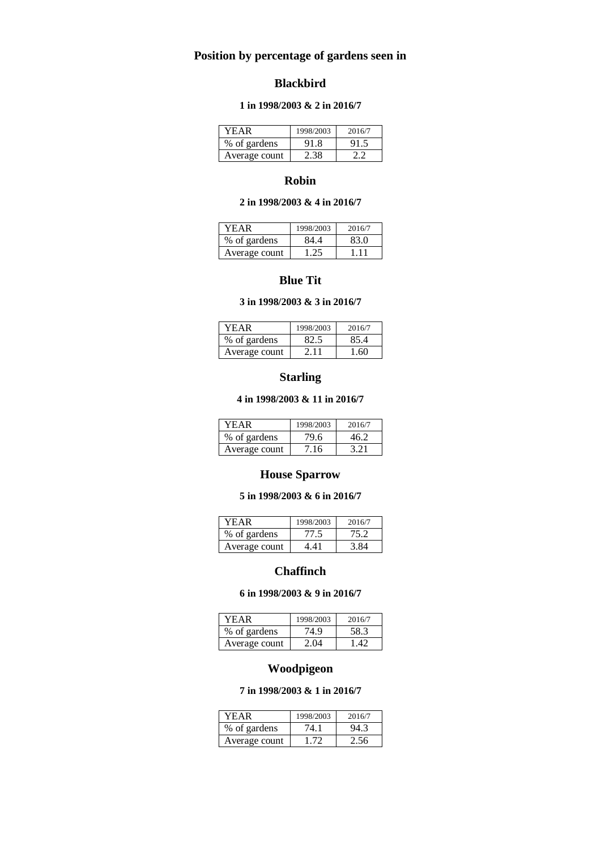# **Position by percentage of gardens seen in**

## **Blackbird**

### **1 in 1998/2003 & 2 in 2016/7**

| YEAR          | 1998/2003 | 2016/7 |
|---------------|-----------|--------|
| % of gardens  | 91.8      |        |
| Average count | 2 38      |        |

## **Robin**

## **2 in 1998/2003 & 4 in 2016/7**

| YEAR          | 1998/2003 | 2016/7 |
|---------------|-----------|--------|
| % of gardens  | 84.4      | 83.0   |
| Average count | - 75      | 111    |

### **Blue Tit**

#### **3 in 1998/2003 & 3 in 2016/7**

| YEAR          | 1998/2003 | 2016/7 |
|---------------|-----------|--------|
| % of gardens  | 82.5      | 85.4   |
| Average count | 2.11      | 160    |

# **Starling**

#### **4 in 1998/2003 & 11 in 2016/7**

| YEAR          | 1998/2003 | 2016/7 |
|---------------|-----------|--------|
| % of gardens  | 79.6      | 46 2   |
| Average count | 7.16      | 3 21   |

# **House Sparrow**

#### **5 in 1998/2003 & 6 in 2016/7**

| YEAR          | 1998/2003 | 2016/7 |
|---------------|-----------|--------|
| % of gardens  | 77.5      | 75 2   |
| Average count | 441       |        |

# **Chaffinch**

### **6 in 1998/2003 & 9 in 2016/7**

| YEAR          | 1998/2003 | 2016/7 |
|---------------|-----------|--------|
| % of gardens  | 74.9      | 58.3   |
| Average count | 2.04      | 142    |

# **Woodpigeon**

## **7 in 1998/2003 & 1 in 2016/7**

| YEAR          | 1998/2003 | 2016/7 |
|---------------|-----------|--------|
| % of gardens  | 74.1      | 94.3   |
| Average count | . 72      | 2.56   |